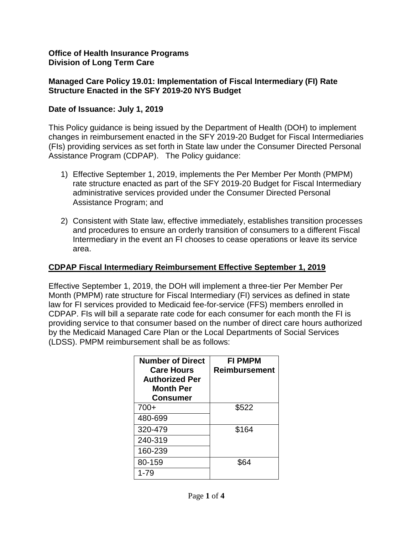### **Office of Health Insurance Programs Division of Long Term Care**

## **Managed Care Policy 19.01: Implementation of Fiscal Intermediary (FI) Rate Structure Enacted in the SFY 2019-20 NYS Budget**

## **Date of Issuance: July 1, 2019**

This Policy guidance is being issued by the Department of Health (DOH) to implement changes in reimbursement enacted in the SFY 2019-20 Budget for Fiscal Intermediaries (FIs) providing services as set forth in State law under the Consumer Directed Personal Assistance Program (CDPAP). The Policy guidance:

- 1) Effective September 1, 2019, implements the Per Member Per Month (PMPM) rate structure enacted as part of the SFY 2019-20 Budget for Fiscal Intermediary administrative services provided under the Consumer Directed Personal Assistance Program; and
- 2) Consistent with State law, effective immediately, establishes transition processes and procedures to ensure an orderly transition of consumers to a different Fiscal Intermediary in the event an FI chooses to cease operations or leave its service area.

## **CDPAP Fiscal Intermediary Reimbursement Effective September 1, 2019**

Effective September 1, 2019, the DOH will implement a three-tier Per Member Per Month (PMPM) rate structure for Fiscal Intermediary (FI) services as defined in state law for FI services provided to Medicaid fee-for-service (FFS) members enrolled in CDPAP. FIs will bill a separate rate code for each consumer for each month the FI is providing service to that consumer based on the number of direct care hours authorized by the Medicaid Managed Care Plan or the Local Departments of Social Services (LDSS). PMPM reimbursement shall be as follows:

| <b>Number of Direct</b><br><b>Care Hours</b><br><b>Authorized Per</b><br><b>Month Per</b><br>Consumer | <b>FI PMPM</b><br>Reimbursement |
|-------------------------------------------------------------------------------------------------------|---------------------------------|
| 700+                                                                                                  | \$522                           |
| 480-699                                                                                               |                                 |
| 320-479                                                                                               | \$164                           |
| 240-319                                                                                               |                                 |
| 160-239                                                                                               |                                 |
| 80-159                                                                                                |                                 |
| 1-79                                                                                                  |                                 |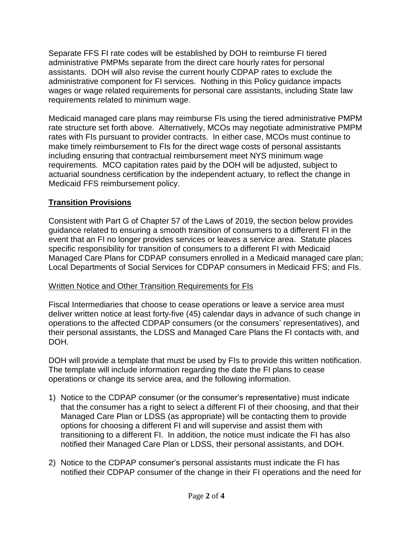Separate FFS FI rate codes will be established by DOH to reimburse FI tiered administrative PMPMs separate from the direct care hourly rates for personal assistants. DOH will also revise the current hourly CDPAP rates to exclude the administrative component for FI services. Nothing in this Policy guidance impacts wages or wage related requirements for personal care assistants, including State law requirements related to minimum wage.

Medicaid managed care plans may reimburse FIs using the tiered administrative PMPM rate structure set forth above. Alternatively, MCOs may negotiate administrative PMPM rates with FIs pursuant to provider contracts. In either case, MCOs must continue to make timely reimbursement to FIs for the direct wage costs of personal assistants including ensuring that contractual reimbursement meet NYS minimum wage requirements. MCO capitation rates paid by the DOH will be adjusted, subject to actuarial soundness certification by the independent actuary, to reflect the change in Medicaid FFS reimbursement policy.

# **Transition Provisions**

Consistent with Part G of Chapter 57 of the Laws of 2019, the section below provides guidance related to ensuring a smooth transition of consumers to a different FI in the event that an FI no longer provides services or leaves a service area. Statute places specific responsibility for transition of consumers to a different FI with Medicaid Managed Care Plans for CDPAP consumers enrolled in a Medicaid managed care plan; Local Departments of Social Services for CDPAP consumers in Medicaid FFS; and FIs.

# Written Notice and Other Transition Requirements for FIs

Fiscal Intermediaries that choose to cease operations or leave a service area must deliver written notice at least forty-five (45) calendar days in advance of such change in operations to the affected CDPAP consumers (or the consumers' representatives), and their personal assistants, the LDSS and Managed Care Plans the FI contacts with, and DOH.

DOH will provide a template that must be used by FIs to provide this written notification. The template will include information regarding the date the FI plans to cease operations or change its service area, and the following information.

- 1) Notice to the CDPAP consumer (or the consumer's representative) must indicate that the consumer has a right to select a different FI of their choosing, and that their Managed Care Plan or LDSS (as appropriate) will be contacting them to provide options for choosing a different FI and will supervise and assist them with transitioning to a different FI. In addition, the notice must indicate the FI has also notified their Managed Care Plan or LDSS, their personal assistants, and DOH.
- 2) Notice to the CDPAP consumer's personal assistants must indicate the FI has notified their CDPAP consumer of the change in their FI operations and the need for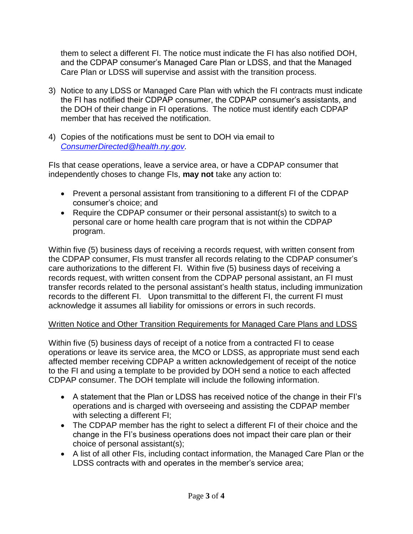them to select a different FI. The notice must indicate the FI has also notified DOH, and the CDPAP consumer's Managed Care Plan or LDSS, and that the Managed Care Plan or LDSS will supervise and assist with the transition process.

- 3) Notice to any LDSS or Managed Care Plan with which the FI contracts must indicate the FI has notified their CDPAP consumer, the CDPAP consumer's assistants, and the DOH of their change in FI operations. The notice must identify each CDPAP member that has received the notification.
- 4) Copies of the notifications must be sent to DOH via email to *[ConsumerDirected@health.ny.gov.](mailto:ConsumerDirected@health.ny.gov)*

FIs that cease operations, leave a service area, or have a CDPAP consumer that independently choses to change FIs, **may not** take any action to:

- Prevent a personal assistant from transitioning to a different FI of the CDPAP consumer's choice; and
- Require the CDPAP consumer or their personal assistant(s) to switch to a personal care or home health care program that is not within the CDPAP program.

Within five (5) business days of receiving a records request, with written consent from the CDPAP consumer, FIs must transfer all records relating to the CDPAP consumer's care authorizations to the different FI. Within five (5) business days of receiving a records request, with written consent from the CDPAP personal assistant, an FI must transfer records related to the personal assistant's health status, including immunization records to the different FI. Upon transmittal to the different FI, the current FI must acknowledge it assumes all liability for omissions or errors in such records.

# Written Notice and Other Transition Requirements for Managed Care Plans and LDSS

Within five (5) business days of receipt of a notice from a contracted FI to cease operations or leave its service area, the MCO or LDSS, as appropriate must send each affected member receiving CDPAP a written acknowledgement of receipt of the notice to the FI and using a template to be provided by DOH send a notice to each affected CDPAP consumer. The DOH template will include the following information.

- A statement that the Plan or LDSS has received notice of the change in their FI's operations and is charged with overseeing and assisting the CDPAP member with selecting a different FI;
- The CDPAP member has the right to select a different FI of their choice and the change in the FI's business operations does not impact their care plan or their choice of personal assistant(s);
- A list of all other FIs, including contact information, the Managed Care Plan or the LDSS contracts with and operates in the member's service area;